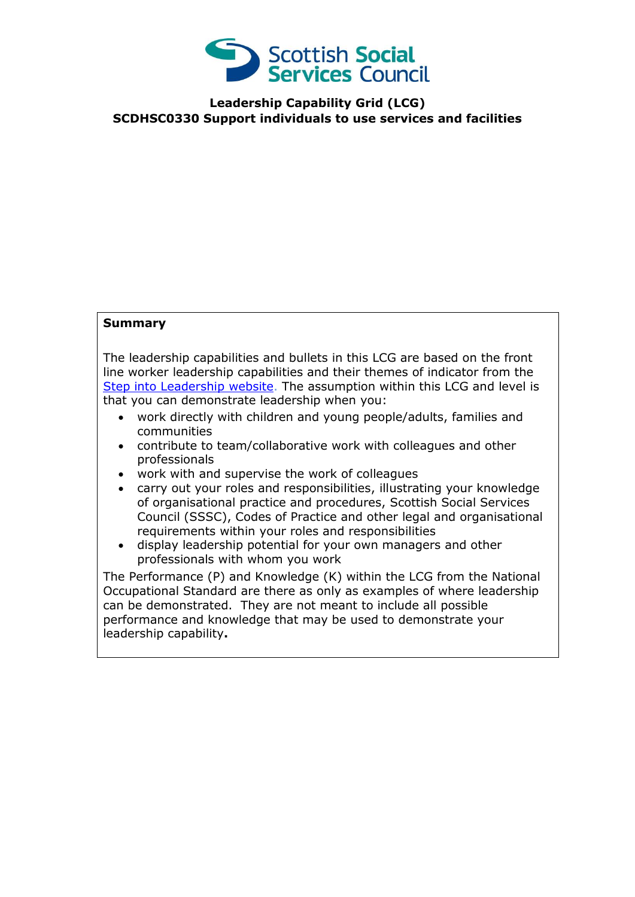

**Leadership Capability Grid (LCG) SCDHSC0330 Support individuals to use services and facilities**

## **Summary**

The leadership capabilities and bullets in this LCG are based on the front line worker leadership capabilities and their themes of indicator from the [Step into Leadership website.](http://www.stepintoleadership.info/) The assumption within this LCG and level is that you can demonstrate leadership when you:

- work directly with children and young people/adults, families and communities
- contribute to team/collaborative work with colleagues and other professionals
- work with and supervise the work of colleagues
- carry out your roles and responsibilities, illustrating your knowledge of organisational practice and procedures, Scottish Social Services Council (SSSC), Codes of Practice and other legal and organisational requirements within your roles and responsibilities
- display leadership potential for your own managers and other professionals with whom you work

The Performance (P) and Knowledge (K) within the LCG from the National Occupational Standard are there as only as examples of where leadership can be demonstrated. They are not meant to include all possible performance and knowledge that may be used to demonstrate your leadership capability**.**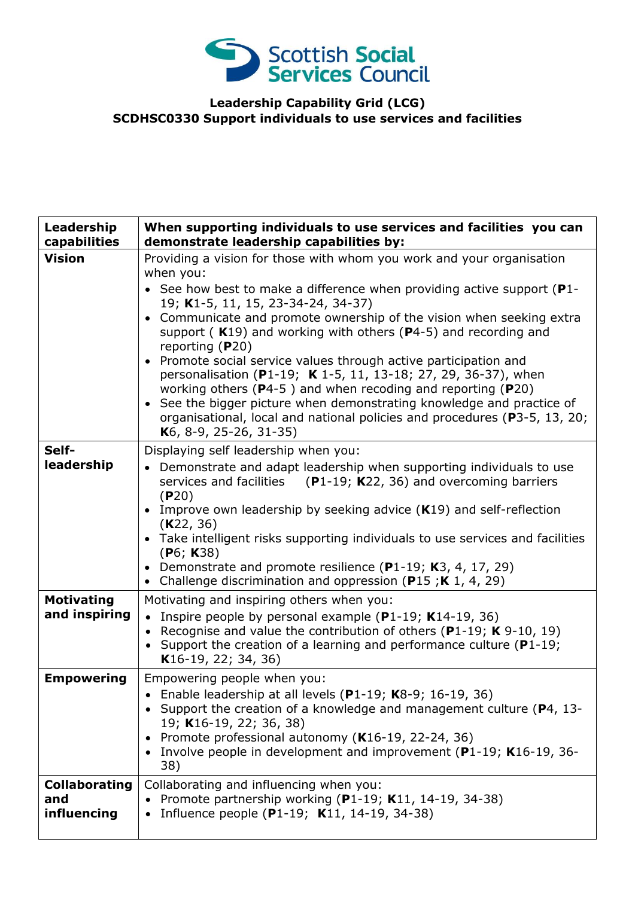

## **Leadership Capability Grid (LCG) SCDHSC0330 Support individuals to use services and facilities**

| Leadership<br>capabilities                 | When supporting individuals to use services and facilities you can<br>demonstrate leadership capabilities by:                                                                                                                                                                                                                                                                                                                                                                                                                                                                                                                                                                                                                                                                       |
|--------------------------------------------|-------------------------------------------------------------------------------------------------------------------------------------------------------------------------------------------------------------------------------------------------------------------------------------------------------------------------------------------------------------------------------------------------------------------------------------------------------------------------------------------------------------------------------------------------------------------------------------------------------------------------------------------------------------------------------------------------------------------------------------------------------------------------------------|
| <b>Vision</b>                              | Providing a vision for those with whom you work and your organisation<br>when you:<br>• See how best to make a difference when providing active support ( $P1$ -<br>19; K1-5, 11, 15, 23-34-24, 34-37)<br>• Communicate and promote ownership of the vision when seeking extra<br>support ( $K19$ ) and working with others ( $P4-5$ ) and recording and<br>reporting $(P20)$<br>Promote social service values through active participation and<br>personalisation (P1-19; K 1-5, 11, 13-18; 27, 29, 36-37), when<br>working others ( $P4-5$ ) and when recoding and reporting ( $P20$ )<br>See the bigger picture when demonstrating knowledge and practice of<br>organisational, local and national policies and procedures (P3-5, 13, 20;<br>K <sub>6</sub> , 8-9, 25-26, 31-35) |
| Self-<br>leadership                        | Displaying self leadership when you:<br>Demonstrate and adapt leadership when supporting individuals to use<br>services and facilities $(P1-19; K22, 36)$ and overcoming barriers<br>(P20)<br>• Improve own leadership by seeking advice $(K19)$ and self-reflection<br>(K22, 36)<br>• Take intelligent risks supporting individuals to use services and facilities<br>(P6; K38)<br>• Demonstrate and promote resilience (P1-19; K3, 4, 17, 29)<br>• Challenge discrimination and oppression (P15;K 1, 4, 29)                                                                                                                                                                                                                                                                       |
| <b>Motivating</b><br>and inspiring         | Motivating and inspiring others when you:<br>Inspire people by personal example (P1-19; K14-19, 36)<br>• Recognise and value the contribution of others (P1-19; $K$ 9-10, 19)<br>• Support the creation of a learning and performance culture ( $P1-19$ ;<br>K <sub>16</sub> -19, 22; 34, 36)                                                                                                                                                                                                                                                                                                                                                                                                                                                                                       |
| <b>Empowering</b>                          | Empowering people when you:<br>• Enable leadership at all levels (P1-19; K8-9; 16-19, 36)<br>• Support the creation of a knowledge and management culture (P4, 13-<br>19; K16-19, 22; 36, 38)<br>Promote professional autonomy (K16-19, 22-24, 36)<br>$\bullet$<br>• Involve people in development and improvement (P1-19; K16-19, 36-<br>38)                                                                                                                                                                                                                                                                                                                                                                                                                                       |
| <b>Collaborating</b><br>and<br>influencing | Collaborating and influencing when you:<br>Promote partnership working (P1-19; K11, 14-19, 34-38)<br>Influence people (P1-19; K11, 14-19, 34-38)                                                                                                                                                                                                                                                                                                                                                                                                                                                                                                                                                                                                                                    |